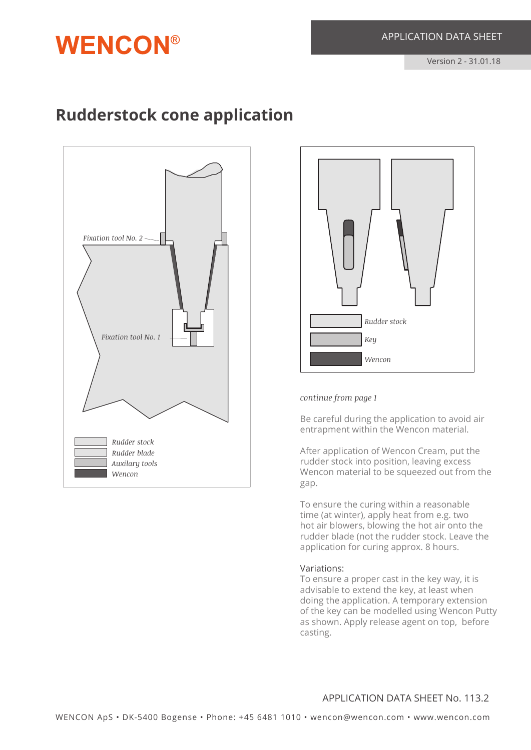# **Rudderstock cone application**

**WENCON®** 





#### *continue from page 1*

Be careful during the application to avoid air entrapment within the Wencon material.

After application of Wencon Cream, put the rudder stock into position, leaving excess Wencon material to be squeezed out from the gap.

To ensure the curing within a reasonable time (at winter), apply heat from e.g. two hot air blowers, blowing the hot air onto the rudder blade (not the rudder stock. Leave the application for curing approx. 8 hours.

#### Variations:

To ensure a proper cast in the key way, it is advisable to extend the key, at least when doing the application. A temporary extension of the key can be modelled using Wencon Putty as shown. Apply release agent on top, before casting.

### APPLICATION DATA SHEET No. 113.2